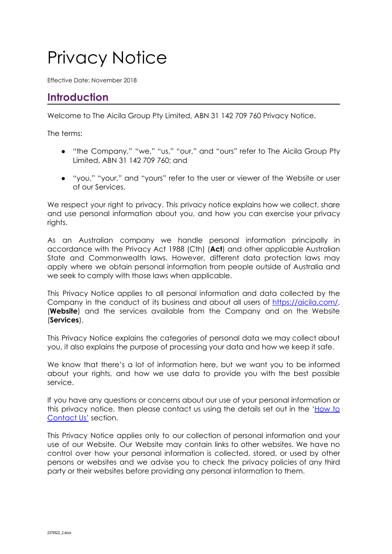# Privacy Notice

Effective Date: November 2018

# **Introduction**

Welcome to The Aicila Group Pty Limited, ABN 31 142 709 760 Privacy Notice.

The terms:

- "the Company," "we," "us," "our," and "ours" refer to The Aicila Group Pty Limited, ABN 31 142 709 760; and
- "you," "your," and "yours" refer to the user or viewer of the Website or user of our Services.

We respect your right to privacy. This privacy notice explains how we collect, share and use personal information about you, and how you can exercise your privacy rights.

As an Australian company we handle personal information principally in accordance with the Privacy Act 1988 (Cth) (**Act**) and other applicable Australian State and Commonwealth laws. However, different data protection laws may apply where we obtain personal information from people outside of Australia and we seek to comply with those laws when applicable.

This Privacy Notice applies to all personal information and data collected by the Company in the conduct of its business and about all users of <https://aicila.com/>, (**Website**) and the services available from the Company and on the Website (**Services**).

This Privacy Notice explains the categories of personal data we may collect about you, it also explains the purpose of processing your data and how we keep it safe.

We know that there's a lot of information here, but we want you to be informed about your rights, and how we use data to provide you with the best possible service.

If you have any questions or concerns about our use of your personal information or this privacy notice, then please contact us using the details set out in the ['How](https://aicila.com/contact-aicila/) to [Contact](https://aicila.com/contact-aicila/) Us' section.

This Privacy Notice applies only to our collection of personal information and your use of our Website. Our Website may contain links to other websites. We have no control over how your personal information is collected, stored, or used by other persons or websites and we advise you to check the privacy policies of any third party or their websites before providing any personal information to them.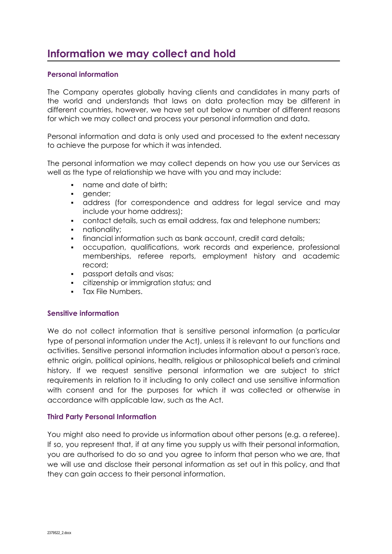# **Information we may collect and hold**

### **Personal information**

The Company operates globally having clients and candidates in many parts of the world and understands that laws on data protection may be different in different countries, however, we have set out below a number of different reasons for which we may collect and process your personal information and data.

Personal information and data is only used and processed to the extent necessary to achieve the purpose for which it was intended.

The personal information we may collect depends on how you use our Services as well as the type of relationship we have with you and may include:

- name and date of birth:
- qender;
- address (for correspondence and address for legal service and may include your home address);
- contact details, such as email address, fax and telephone numbers;
- nationality;
- financial information such as bank account, credit card details;
- occupation, qualifications, work records and experience, professional memberships, referee reports, employment history and academic record;
- passport details and visas;
- citizenship or immigration status; and
- Tax File Numbers.

### **Sensitive information**

We do not collect information that is sensitive personal information (a particular type of personal information under the Act), unless it is relevant to our functions and activities. Sensitive personal information includes information about a person's race, ethnic origin, political opinions, health, religious or philosophical beliefs and criminal history. If we request sensitive personal information we are subject to strict requirements in relation to it including to only collect and use sensitive information with consent and for the purposes for which it was collected or otherwise in accordance with applicable law, such as the Act.

### **Third Party Personal Information**

You might also need to provide us information about other persons (e.g. a referee). If so, you represent that, if at any time you supply us with their personal information, you are authorised to do so and you agree to inform that person who we are, that we will use and disclose their personal information as set out in this policy, and that they can gain access to their personal information.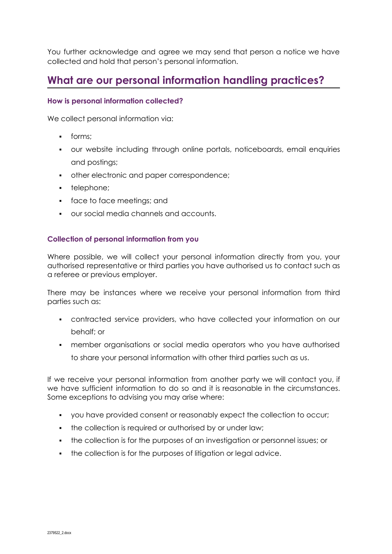You further acknowledge and agree we may send that person a notice we have collected and hold that person's personal information.

# **What are our personal information handling practices?**

### **How is personal information collected?**

We collect personal information via:

- forms;
- our website including through online portals, noticeboards, email enquiries and postings;
- other electronic and paper correspondence;
- telephone;
- face to face meetings; and
- our social media channels and accounts.

### **Collection of personal information from you**

Where possible, we will collect your personal information directly from you, your authorised representative or third parties you have authorised us to contact such as a referee or previous employer.

There may be instances where we receive your personal information from third parties such as:

- contracted service providers, who have collected your information on our behalf; or
- member organisations or social media operators who you have authorised to share your personal information with other third parties such as us.

If we receive your personal information from another party we will contact you, if we have sufficient information to do so and it is reasonable in the circumstances. Some exceptions to advising you may arise where:

- you have provided consent or reasonably expect the collection to occur;
- the collection is required or authorised by or under law;
- the collection is for the purposes of an investigation or personnel issues; or
- **•** the collection is for the purposes of litigation or legal advice.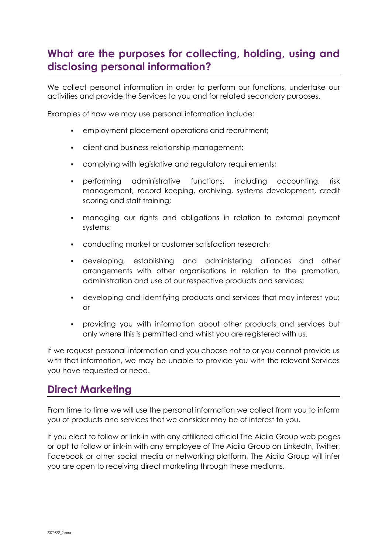# **What are the purposes for collecting, holding, using and disclosing personal information?**

We collect personal information in order to perform our functions, undertake our activities and provide the Services to you and for related secondary purposes.

Examples of how we may use personal information include:

- employment placement operations and recruitment;
- client and business relationship management;
- complying with legislative and regulatory requirements;
- performing administrative functions, including accounting, risk management, record keeping, archiving, systems development, credit scoring and staff training;
- managing our rights and obligations in relation to external payment systems;
- conducting market or customer satisfaction research;
- developing, establishing and administering alliances and other arrangements with other organisations in relation to the promotion, administration and use of our respective products and services;
- developing and identifying products and services that may interest you; or
- providing you with information about other products and services but only where this is permitted and whilst you are registered with us.

If we request personal information and you choose not to or you cannot provide us with that information, we may be unable to provide you with the relevant Services you have requested or need.

# **Direct Marketing**

From time to time we will use the personal information we collect from you to inform you of products and services that we consider may be of interest to you.

If you elect to follow or link-in with any affiliated official The Aicila Group web pages or opt to follow or link-in with any employee of The Aicila Group on LinkedIn, Twitter, Facebook or other social media or networking platform, The Aicila Group will infer you are open to receiving direct marketing through these mediums.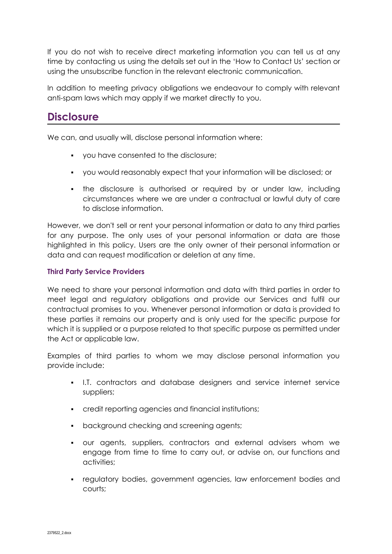If you do not wish to receive direct marketing information you can tell us at any time by contacting us using the details set out in the 'How to Contact Us' section or using the unsubscribe function in the relevant electronic communication.

In addition to meeting privacy obligations we endeavour to comply with relevant anti-spam laws which may apply if we market directly to you.

### **Disclosure**

We can, and usually will, disclose personal information where:

- you have consented to the disclosure;
- you would reasonably expect that your information will be disclosed; or
- the disclosure is authorised or required by or under law, including circumstances where we are under a contractual or lawful duty of care to disclose information.

However, we don't sell or rent your personal information or data to any third parties for any purpose. The only uses of your personal information or data are those highlighted in this policy. Users are the only owner of their personal information or data and can request modification or deletion at any time.

### **Third Party Service Providers**

We need to share your personal information and data with third parties in order to meet legal and regulatory obligations and provide our Services and fulfil our contractual promises to you. Whenever personal information or data is provided to these parties it remains our property and is only used for the specific purpose for which it is supplied or a purpose related to that specific purpose as permitted under the Act or applicable law.

Examples of third parties to whom we may disclose personal information you provide include:

- I.T. contractors and database designers and service internet service suppliers;
- credit reporting agencies and financial institutions;
- background checking and screening agents;
- our agents, suppliers, contractors and external advisers whom we engage from time to time to carry out, or advise on, our functions and activities;
- **•** regulatory bodies, government agencies, law enforcement bodies and courts;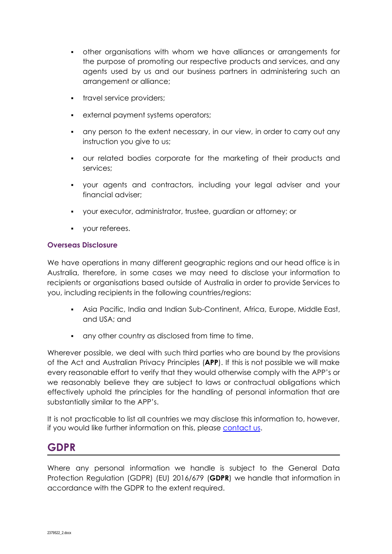- other organisations with whom we have alliances or arrangements for the purpose of promoting our respective products and services, and any agents used by us and our business partners in administering such an arrangement or alliance;
- **•** travel service providers;
- external payment systems operators;
- any person to the extent necessary, in our view, in order to carry out any instruction you give to us;
- our related bodies corporate for the marketing of their products and services;
- your agents and contractors, including your legal adviser and your financial adviser;
- your executor, administrator, trustee, guardian or attorney; or
- your referees.

### **Overseas Disclosure**

We have operations in many different geographic regions and our head office is in Australia, therefore, in some cases we may need to disclose your information to recipients or organisations based outside of Australia in order to provide Services to you, including recipients in the following countries/regions:

- Asia Pacific, India and Indian Sub-Continent, Africa, Europe, Middle East, and USA; and
- any other country as disclosed from time to time.

Wherever possible, we deal with such third parties who are bound by the provisions of the Act and Australian Privacy Principles (**APP**). If this is not possible we will make every reasonable effort to verify that they would otherwise comply with the APP's or we reasonably believe they are subject to laws or contractual obligations which effectively uphold the principles for the handling of personal information that are substantially similar to the APP's.

It is not practicable to list all countries we may disclose this information to, however, if you would like further information on this, please [contact](https://aicila.com/contact-aicila/) us.

# **GDPR**

Where any personal information we handle is subject to the General Data Protection Regulation (GDPR) (EU) 2016/679 (**GDPR**) we handle that information in accordance with the GDPR to the extent required.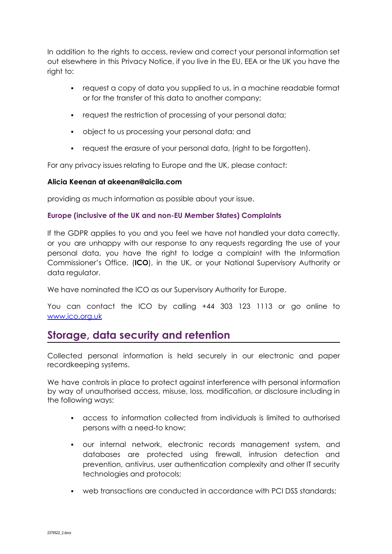In addition to the rights to access, review and correct your personal information set out elsewhere in this Privacy Notice, if you live in the EU, EEA or the UK you have the right to:

- request a copy of data you supplied to us, in a machine readable format or for the transfer of this data to another company;
- **•** request the restriction of processing of your personal data;
- object to us processing your personal data; and
- request the erasure of your personal data, (right to be forgotten).

For any privacy issues relating to Europe and the UK, please contact:

### **Alicia Keenan at akeenan@aicila.com**

providing as much information as possible about your issue.

### **Europe (inclusive of the UK and non-EU Member States) Complaints**

If the GDPR applies to you and you feel we have not handled your data correctly, or you are unhappy with our response to any requests regarding the use of your personal data, you have the right to lodge a complaint with the Information Commissioner's Office, (**ICO**), in the UK, or your National Supervisory Authority or data regulator.

We have nominated the ICO as our Supervisory Authority for Europe.

You can contact the ICO by calling +44 303 123 1113 or go online to [www.ico.org.uk](http://www.ico.org.uk)

# **Storage, data security and retention**

Collected personal information is held securely in our electronic and paper recordkeeping systems.

We have controls in place to protect against interference with personal information by way of unauthorised access, misuse, loss, modification, or disclosure including in the following ways:

- access to information collected from individuals is limited to authorised persons with a need-to know;
- our internal network, electronic records management system, and databases are protected using firewall, intrusion detection and prevention, antivirus, user authentication complexity and other IT security technologies and protocols;
- web transactions are conducted in accordance with PCI DSS standards;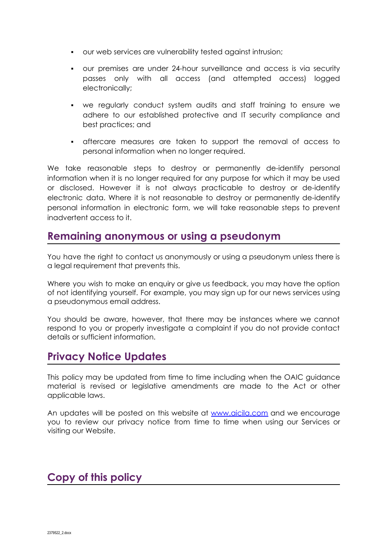- our web services are vulnerability tested against intrusion;
- our premises are under 24-hour surveillance and access is via security passes only with all access (and attempted access) logged electronically;
- we regularly conduct system audits and staff training to ensure we adhere to our established protective and IT security compliance and best practices; and
- aftercare measures are taken to support the removal of access to personal information when no longer required.

We take reasonable steps to destroy or permanently de-identify personal information when it is no longer required for any purpose for which it may be used or disclosed. However it is not always practicable to destroy or de-identify electronic data. Where it is not reasonable to destroy or permanently de-identify personal information in electronic form, we will take reasonable steps to prevent inadvertent access to it.

### **Remaining anonymous or using a pseudonym**

You have the right to contact us anonymously or using a pseudonym unless there is a legal requirement that prevents this.

Where you wish to make an enquiry or give us feedback, you may have the option of not identifying yourself. For example, you may sign up for our news services using a pseudonymous email address.

You should be aware, however, that there may be instances where we cannot respond to you or properly investigate a complaint if you do not provide contact details or sufficient information.

# **Privacy Notice Updates**

This policy may be updated from time to time including when the OAIC guidance material is revised or legislative amendments are made to the Act or other applicable laws.

An updates will be posted on this website at [www.aicila.com](https://docs.google.com/viewer?url=https%3A%2F%2Faicila.com%2Fwp-content%2Fuploads%2F2019%2F01%2FAicila-Privacy-Notice-26-10-18.pdf) and we encourage you to review our privacy notice from time to time when using our Services or visiting our Website.

### **Copy of this policy**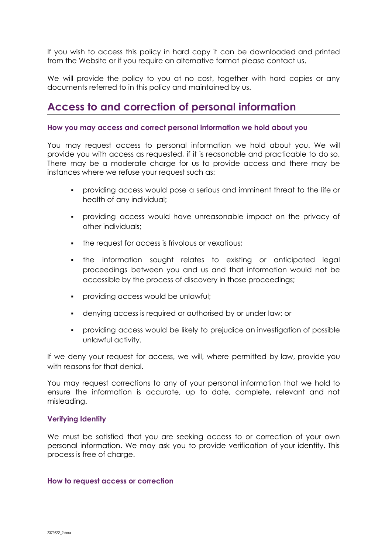If you wish to access this policy in hard copy it can be downloaded and printed from the Website or if you require an alternative format please contact us.

We will provide the policy to you at no cost, together with hard copies or any documents referred to in this policy and maintained by us.

# **Access to and correction of personal information**

#### **How you may access and correct personal information we hold about you**

You may request access to personal information we hold about you. We will provide you with access as requested, if it is reasonable and practicable to do so. There may be a moderate charge for us to provide access and there may be instances where we refuse your request such as:

- providing access would pose a serious and imminent threat to the life or health of any individual;
- providing access would have unreasonable impact on the privacy of other individuals;
- the request for access is frivolous or vexatious;
- the information sought relates to existing or anticipated legal proceedings between you and us and that information would not be accessible by the process of discovery in those proceedings;
- providing access would be unlawful;
- denying access is required or authorised by or under law; or
- providing access would be likely to prejudice an investigation of possible unlawful activity.

If we deny your request for access, we will, where permitted by law, provide you with reasons for that denial.

You may request corrections to any of your personal information that we hold to ensure the information is accurate, up to date, complete, relevant and not misleading.

### **Verifying Identity**

We must be satisfied that you are seeking access to or correction of your own personal information. We may ask you to provide verification of your identity. This process is free of charge.

#### **How to request access or correction**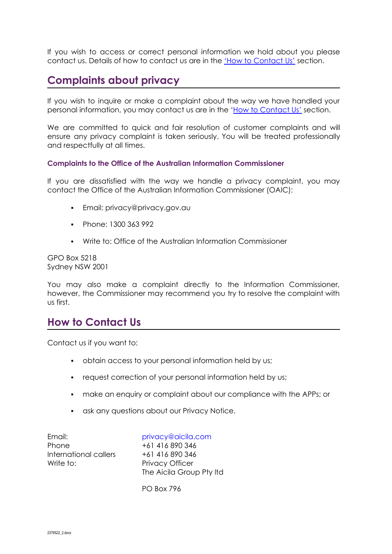If you wish to access or correct personal information we hold about you please contact us. Details of how to contact us are in the 'How to [Contact](https://aicila.com/contact-aicila/) Us' section.

# **Complaints about privacy**

If you wish to inquire or make a complaint about the way we have handled your personal information, you may contact us are in the 'How to [Contact](https://aicila.com/contact-aicila/) Us' section.

We are committed to quick and fair resolution of customer complaints and will ensure any privacy complaint is taken seriously. You will be treated professionally and respectfully at all times.

### **Complaints to the Office of the Australian Information Commissioner**

If you are dissatisfied with the way we handle a privacy complaint, you may contact the Office of the Australian Information Commissioner (OAIC):

- Email: privacy@privacy.gov.au
- Phone: 1300 363 992
- Write to: Office of the Australian Information Commissioner

GPO Box 5218 Sydney NSW 2001

You may also make a complaint directly to the Information Commissioner, however, the Commissioner may recommend you try to resolve the complaint with us first.

### **How to Contact Us**

Contact us if you want to:

- obtain access to your personal information held by us;
- request correction of your personal information held by us;
- **make an enquiry or complaint about our compliance with the APPs; or**
- ask any questions about our Privacy Notice.

Email: privacy@aicila.com Phone +61 416 890 346 International callers +61 416 890 346 Write to: Privacy Officer

The Aicila Group Pty ltd

PO Box 796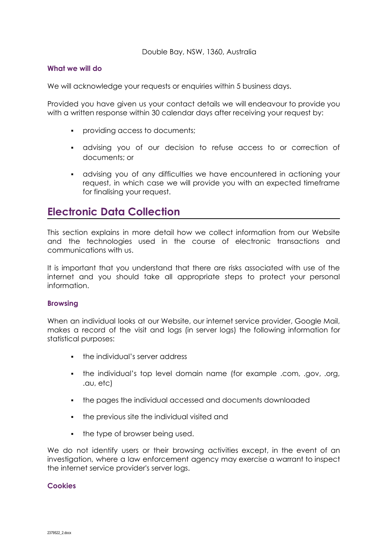### **What we will do**

We will acknowledge your requests or enquiries within 5 business days.

Provided you have given us your contact details we will endeavour to provide you with a written response within 30 calendar days after receiving your request by:

- providing access to documents;
- advising you of our decision to refuse access to or correction of documents; or
- advising you of any difficulties we have encountered in actioning your request, in which case we will provide you with an expected timeframe for finalising your request.

# **Electronic Data Collection**

This section explains in more detail how we collect information from our Website and the technologies used in the course of electronic transactions and communications with us.

It is important that you understand that there are risks associated with use of the internet and you should take all appropriate steps to protect your personal information.

### **Browsing**

When an individual looks at our Website, our internet service provider, Google Mail, makes a record of the visit and logs (in server logs) the following information for statistical purposes:

- **•** the individual's server address
- the individual's top level domain name (for example .com, .gov, .org, .au, etc)
- the pages the individual accessed and documents downloaded
- the previous site the individual visited and
- the type of browser being used.

We do not identify users or their browsing activities except, in the event of an investigation, where a law enforcement agency may exercise a warrant to inspect the internet service provider's server logs.

### **Cookies**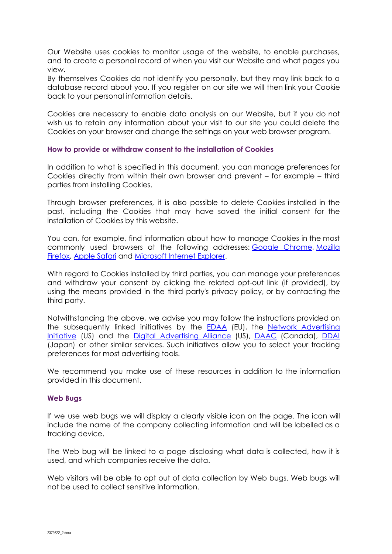Our Website uses cookies to monitor usage of the website, to enable purchases, and to create a personal record of when you visit our Website and what pages you view.

By themselves Cookies do not identify you personally, but they may link back to a database record about you. If you register on our site we will then link your Cookie back to your personal information details.

Cookies are necessary to enable data analysis on our Website, but if you do not wish us to retain any information about your visit to our site you could delete the Cookies on your browser and change the settings on your web browser program.

### **How to provide or withdraw consent to the installation of Cookies**

In addition to what is specified in this document, you can manage preferences for Cookies directly from within their own browser and prevent – for example – third parties from installing Cookies.

Through browser preferences, it is also possible to delete Cookies installed in the past, including the Cookies that may have saved the initial consent for the installation of Cookies by this website.

You can, for example, find information about how to manage Cookies in the most commonly used browsers at the following addresses: Google [Chrome,](https://support.google.com/chrome/answer/95647?hl=en&p=cpn_cookies) [Mozilla](https://support.mozilla.org/en-US/kb/enable-and-disable-cookies-website-preferences) [Firefox,](https://support.mozilla.org/en-US/kb/enable-and-disable-cookies-website-preferences) [Apple](https://support.apple.com/kb/PH21411) Safari and [Microsoft](http://windows.microsoft.com/en-us/windows-vista/block-or-allow-cookies) Internet Explorer.

With regard to Cookies installed by third parties, you can manage your preferences and withdraw your consent by clicking the related opt-out link (if provided), by using the means provided in the third party's privacy policy, or by contacting the third party.

Notwithstanding the above, we advise you may follow the instructions provided on the subsequently linked initiatives by the **[EDAA](http://www.youronlinechoices.eu/)** (EU), the Network [Advertising](https://www.networkadvertising.org/understanding-digital-advertising) [Initiative](https://www.networkadvertising.org/understanding-digital-advertising) (US) and the Digital [Advertising](https://www.aboutads.info/consumers/) Alliance (US), [DAAC](https://youradchoices.ca/understanding-online-advertising/) (Canada), [DDAI](http://www.ddai.info/optout) (Japan) or other similar services. Such initiatives allow you to select your tracking preferences for most advertising tools.

We recommend you make use of these resources in addition to the information provided in this document.

#### **Web Bugs**

If we use web bugs we will display a clearly visible icon on the page. The icon will include the name of the company collecting information and will be labelled as a tracking device.

The Web bug will be linked to a page disclosing what data is collected, how it is used, and which companies receive the data.

Web visitors will be able to opt out of data collection by Web bugs. Web bugs will not be used to collect sensitive information.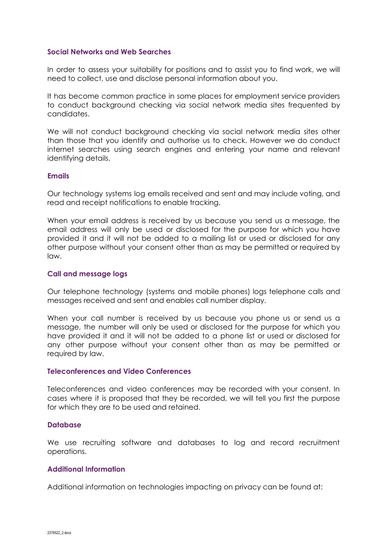#### **Social Networks and Web Searches**

In order to assess your suitability for positions and to assist you to find work, we will need to collect, use and disclose personal information about you.

It has become common practice in some places for employment service providers to conduct background checking via social network media sites frequented by candidates.

We will not conduct background checking via social network media sites other than those that you identify and authorise us to check. However we do conduct internet searches using search engines and entering your name and relevant identifying details.

#### **Emails**

Our technology systems log emails received and sent and may include voting, and read and receipt notifications to enable tracking.

When your email address is received by us because you send us a message, the email address will only be used or disclosed for the purpose for which you have provided it and it will not be added to a mailing list or used or disclosed for any other purpose without your consent other than as may be permitted or required by law.

#### **Call and message logs**

Our telephone technology (systems and mobile phones) logs telephone calls and messages received and sent and enables call number display.

When your call number is received by us because you phone us or send us a message, the number will only be used or disclosed for the purpose for which you have provided it and it will not be added to a phone list or used or disclosed for any other purpose without your consent other than as may be permitted or required by law.

#### **Teleconferences and Video Conferences**

Teleconferences and video conferences may be recorded with your consent. In cases where it is proposed that they be recorded, we will tell you first the purpose for which they are to be used and retained.

#### **Database**

We use recruiting software and databases to log and record recruitment operations.

#### **Additional Information**

Additional information on technologies impacting on privacy can be found at: